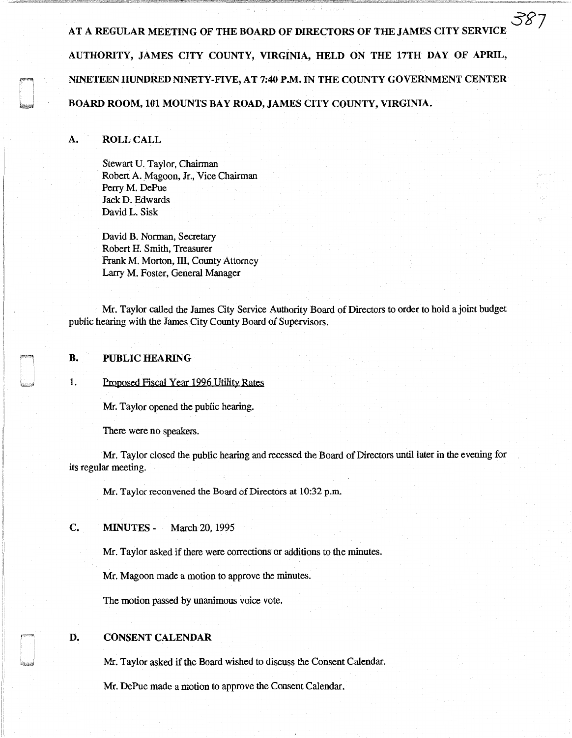AT A REGULAR MEETING OF THE BOARD OF DIRECTORS OF THE JAMES CITY SERVICI AUTHORITY, JAMES CITY COUNTY, VIRGINIA, HELD ON THE 17TH DAY OF APRIL, NINETEEN HUNDRED NINETY-FIVE, AT 7:40 P.M. IN THE COUNTY GOVERNMENT CENTER BOARD ROOM, 101 MOUNTS BAY ROAD, JAMES CITY COUNTY, VIRGINIA.

. *,:5g7* 

## A. ROLL CALL

Stewart U. Taylor, Chairman Robert A. Magoon, Jr., Vice Chairman Perry M. DePue Jack D. Edwards David L. Sisk

David B. Norman, Secretary Robert H. Smith, Treasurer Frank M. Morton, III, County Attorney Larry M. Foster, General Manager

Mr. Taylor called the James City Service Authority Board of Directors to order to hold a joint budget public hearing with the James City County Board of Supervisors.

#### B. PUBLIC HEARING

1. Proposed Fiscal Year 1996 Utility Rates

Mr. Taylor opened the public hearing.

There were no speakers.

Mr. Taylor closed the public hearing and recessed the Board of Directors until later in the evening for its regular meeting.

Mr. Taylor reconvened the Board of Directors at 10:32 p.m.

C. MINUTES - March 20, 1995

Mr. Taylor asked if there were corrections or additions to the minutes.

Mr. Magoon made a motion to approve the minutes.

The motion passed by unanimous voice vote.

### D. CONSENT CALENDAR

Mr. Taylor asked if the Board wished to discuss the Consent Calendar.

Mr. DePue made a motion to approve the Consent Calendar.